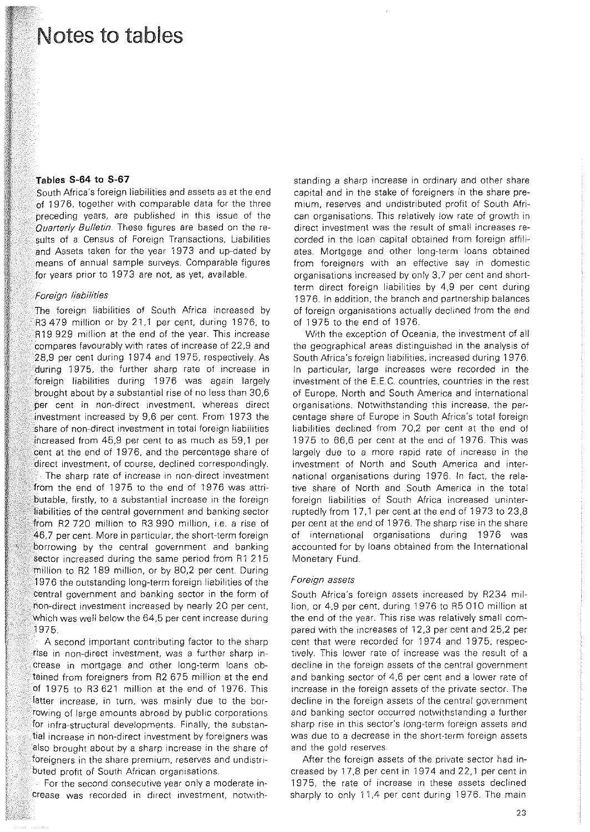## Notes to tables

### Tables S-64 to S-67

South Africa's foreign liabilities and assets as at the end of 1976, together with comparable data for the three preceding years, are published in this issue of the *Quarterly Bulletin.* These figures are based on the results of a Census of Foreign Transactions, Liabilities and Assets taken for the year 1973 and up-dated by means of annual sample surveys. Comparable figures for years prior to 1973 are not, as yet, available.

### *Foreign liabilities*

The foreign liabilities of South Africa increased by R3 479 million or by 21,1 per cent, during 1976, to R19 929 million at the end of the year. This increase compares favourably with rates of increase of 22,9 and 28,9 per cent during 1974 and 1975, respectively. As during 1975, the further sharp rate of increase in foreign liabilities during 1976 was again largely brought about by a substantial rise of no less than 30,6 per cent in non-direct investment, whereas direct investment increased by 9,6 per cent. From 1973 the share of non-direct investment in total foreign liabilities increased from 45,9 per cent to as much as 59,1 per cent at the end of 1976, and the percentage share of direct investment, of course, declined correspondingly.

The sharp rate of increase in non-direct investment from the end of 1975 to the end of 1976 was attributable, firstly, to a substantial increase in the foreign liabilities of the central government and banking sector from R2 720 million to R3 990 million, i.e. a rise of 46,7 per cent. More in particular, the short-term foreign borrowing by the central government and banking sector increased during the same period from R1 215 million to R2 189 million, or by 80,2 per cent During 1976 the outstanding long-term foreign liabilities of the central government and banking sector in the form of non-direct investment increased by nearly 20 per cent, which was well below the 64,5 per cent increase during 1975.

A second important contributing factor to the sharp rise in non-direct investment, was a further sharp increase in mortgage and other long-term loans obtained from foreigners from R2 675 million at the end of 1975 to R3 621 million at the end of 1976. This latter increase, in turn, was mainly due to the borrowing of large amounts abroad by public corporations for infra-structural developments. Finally, the substantial increase in non-direct investment by foreigners was also brought about by a sharp increase in the share of foreigners in the share premium, reserves and undistributed profit of South African organisations.

For the second consecutive year only a moderate increase was recorded in direct investment, notvvith-

standing a sharp increase in ordinary and other share capital and in the stake of foreigners in the share premium, reserves and undistributed profit of South African organisations. This relatively low rate of growth in direct investment was the result of small increases recorded in the loan capital obtained from foreign affiliates. Mortgage and other long-term loans obtained from foreigners with an effective say in domestic organisations increased by only 3,7 per cent and shortterm direct foreign liabilities by 4,9 per cent during 1976. In addition, the branch and partnership balances of foreign organisations actually declined from the end of 1975 to the end of 1976.

With the exception of Oceania, the investment of all the geographical areas distinguished in the analysis of South Africa's foreign liabilities, increased during 1976. In particular, large increases were recorded in the investment of the E.E.C. countries, countries in the rest of Europe, North and South America and international organisations. Notwithstanding this increase, the percentage share of Europe in South Africa's total foreign liabilities declined from 70,2 per cent at the end of 1975 to 66,6 per cent at the end of 1976. This was largely due to a more rapid rate of increase in the investment of North and South America and international organisations during 1976. In fact, the relative share of North and South America in the total foreign liabilities of South Africa increased uninterruptedly from 17,1 per cent at the end of 1973 to 23,8 per cent at the end of 1976. The sharp rise in the share of international organisations during 1976 was accounted for by loans obtained from the International Monetary Fund.

### Foreign assets

South Africa's foreign assets increased by R234 million, or 4,9 per cent, during 1976 to R5 010 million at the end of the year. This rise was relatively small compared with the increases of 12,3 per cent and 25,2 per cent that were recorded for 1974 and 1975, respectively. This lower rate of increase was the result of a decline in the foreign assets of the central government and banking sector of 4,6 per cent and a lower rate of increase in the foreign assets of the private sector. The decline in the foreign assets of the central government and banking sector occurred notwithstanding a further sharp rise in this sector's long-term foreign assets and was due to a decrease in the short-term foreign assets and the gold reserves.

After the foreign assets of the private sector had increased by 17,8 per cent in 1974 and 22,1 per cent in 1975, the rate of increase in these assets declined sharply to only 11,4 per cent during 1976. The main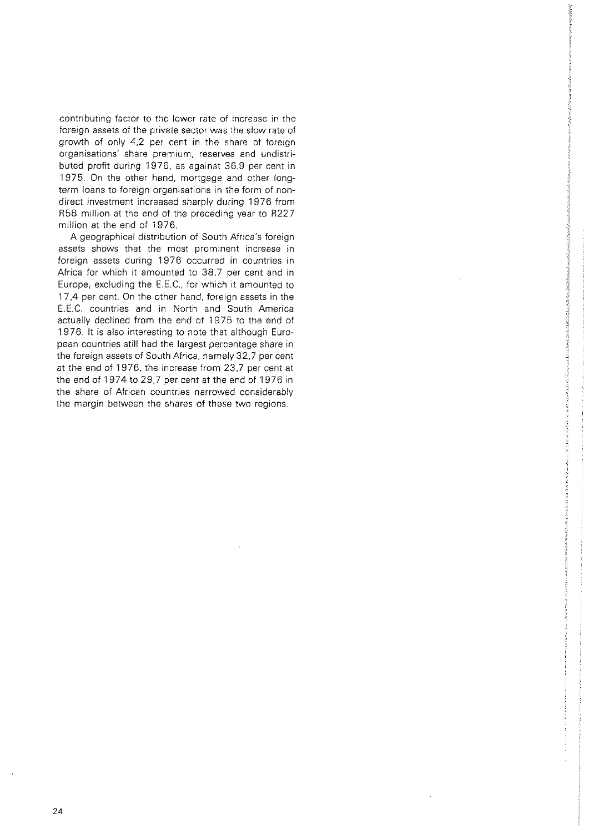contributing factor to the lower rate of increase in the foreign assets of the private sector was the slow rate of growth of only 4,2 per cent in the share of foreign **organisations' share premium, reserves and undistri**buted profit during 1976, as against 36,9 per cent in 1975. On the other hand, mortgage and other longterm loans to foreign organisations in the form of nondirect investment increased sharply during 1976 from R58 million at the end of the preceding year to R227 million at the end of 1976.

A geographical distribution of South Africa's foreign assets shows that the most prominent increase in foreign assets during 1976 occurred in countries in Africa for which it amounted to 38,7 per cent and in Europe; excluding the E.E.C., for which it amounted to 17,4 per cent. On the other hand, foreign assets in the E.E.C. countries and in North and South America actually declined from the end of 1975 to the end of 1976. It is also interesting to note that although European countries still had the largest percentage share in the foreign assets of South Africa, namely 32,7 per cent at the end of 1976, the increase from 23,7 per cent at the end of 1974 to 29,7 per cent at the end of 1976 in the share of African countries narrowed considerably the margin between the shares of these two regions.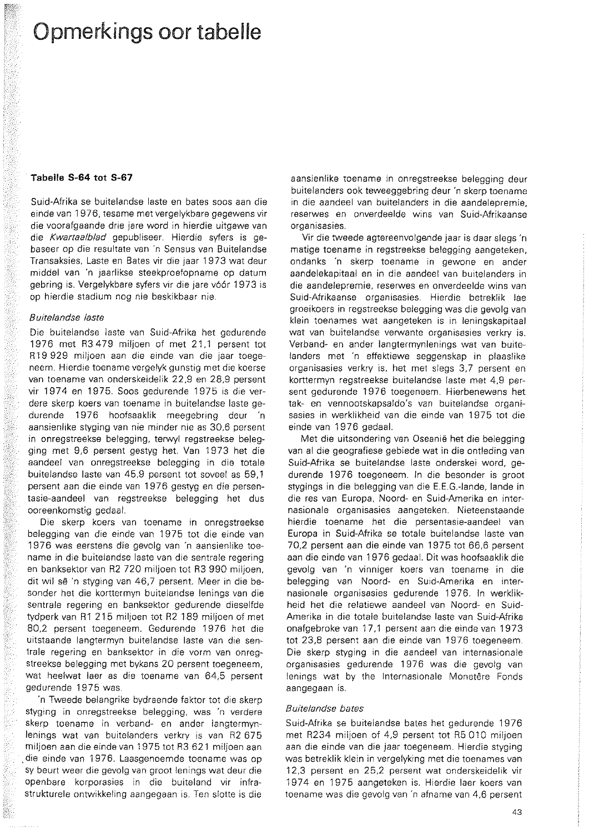# Opmerkings oor tabelle

### Tabella **S-64 tot S-67**

Suid-Afrika se buitelandse laste en bates soos aan die einde van 1976, tesame met vergelykbare gegewens vir die voorafgaande drre jare word in hierdie uitgawe van die *Kwartaa/b/ad* gepubliseer. Hierdie syfers is gebaseer op die resultate van 'n Sensus van Buitelandse Transaksies, Laste en Bates vir die jaar 1973 wat deur middel van 'n jaarlikse steekproefopname op datum gebring is. Vergelykbare syfers vir die jare v66r 1973 is op hierdie stadium nog nie beskikbaar nie.

#### *Buite!andse taste*

Die buitelandse laste van Suid-Afrika het gedurende 1976 met R3 479 miljoen of met 21,1 persent tot R19 929 miljoen aan die einde van die jaar toegeneem. Hierdie toename vergelyk gunstig met die koerse van toename van onderskeidelik 22,9 en 28,9 persent vir 1974 en 1975. Soos gedurende 1975 is die verdere skerp koers van toename in buitelandse laste gedurende 1976 hoofsaaklik meegebring deur 'n aansienlike styging van nie minder nie as 30,6 persent in onregstreekse belegging, terwyl regstreekse belegging met 9,6 persent gestyg het. Van 1973 het die aandeel van onregstreekse belegging in die totale buitelandse laste van 45,9 persent tot soveel as 59,1 persent aan die einde van 1976 gestyg en die persentasie-aandeel van regstreekse belegging het dus ooreenkomstig gedaal.

Die skerp koers van toename in onregstreekse belegging van die einde van 1975 tot die einde van 1976 was eerstens die gevolg van 'n aansienlike toename in die buitelandse laste van die sentrale regering en banksektor van R2 720 miljoen tot R3 990 miljoen, dit wil se 'n styging van 46,7 persent. Meer in die besonder het die korttermyn buitelandse lenings van die sentrale regering en banksektor gedurende dieselfde tydperk van R1 215 miljoen tot R2 189 miljoen of met 80,2 persent toegeneem. Gedurende 1976 het die uitstaande langtermyn buitelandse laste van die sentrale regering en banksektor in die vorm van onregstreekse belegging met bykans 20 persent toegeneem, wat heelwat laer as die toename van 64,5 persent gedurende 1975 was.

'n Tweede belangrike bydraende faktor tot die skerp styging in onregstreekse belegging, was 'n verdere skerp toename in verband- en ander langtermynlenings wat van buitelanders verkry is van R2 675 miljoen aan die einde van 1975 tot R3 621 miljoen aan die einde van 1976. Laasgenoemde toename was op sy beurt weer die gevolg van groot lenings wat deur die openbare korporasies in die buiteland vir infrastrukturele ontwikkeling aangegaan is. Ten slotte is die

aansienlike toename in onregstreekse belegging deur buitelanders ook teweeggebring deur 'n skerp toename in die aandeel van buitelanders in die aandelepremie, reserwes en onverdeelde wins van Suid-Afrikaanse **organisasies.** 

Vir die tweede agtereenvolgende jaar is daar slegs 'n matige toename in regstreekse belegging aangeteken, ondanks 'n skerp toename in gewone en ander aandelekapitaal en in die aandeel van buitelanders in die aandelepremie, reserwes en onverdeelde wins van Suid-Afrikaanse organisasies. Hierdie betreklik lae groeikoers in regstreekse belegging was die gevolg van klein toenames wat aangeteken is in leningskapitaal wat van buitelandse verwante organisasies verkry is. Verband- en ander langtermynlenings wat van buitelanders met 'n effektiewe seggenskap in plaaslike organisasies verkry is, het met slegs 3,7 persent en korttermyn regstreekse buitelandse laste met 4,9 persent gedurende 1976 toegeneem. Hierbenewens het tak- en vennootskapsaldo's van buitelandse organisasies in werklikheid van die einde van 1975 tot die einde van 1976 gedaal.

Met die uitsondering van Oseanie het die belegging van al die geografiese gebiede wat in die ontleding van Suid-Afrika se buitelandse laste onderskei word, gedurende 1976 toegeneem. In die besonder is groot stygings in die belegging van die E.E.G.-Iande, Iande in die res van Europa, Noord- en Suid-Amerika en internasionale organisasies aangeteken. Nieteenstaande hierdie toename het die persentasie-aandeel van Europa in Suid-Afrika se totale buitelandse laste van 70,2 persent aan die einde van 1975 tot 66,6 persent aan die einde van 1976 gedaal. Dit was hoofsaaklik die gevolg van 'n vinniger koers van toename in die belegging van Noord- en Suid-Amerika en internasionale organisasies gedurende 1976. In werklikheid het die relatiewe aandeel van Noord- en Suid-Amerika in die totale buitelandse laste van Suid-Afrika onafgebroke van 17,1 persent aan die einde van 1973 tot 23,8 persent aan die einde van 1976 toegeneem. Die skerp styging in die aandeel van internasionale organisasies gedurende 1976 was die gevolg van lenings wat by the Internasionale Monetêre Fonds aangegaan is.

## *8 uite!andse bates*

Suid-Afrika se buitelandse bates het gedurende 1976 met R234 miljoen of 4,9 persent tot R5 010 miljoen aan die einde van die jaar toegeneem. Hierdie styging was betreklik klein in vergelyking met die toenames van 12,3 persent en 25,2 persent wat onderskeidelik vir 1974 en 1975 aangeteken is. Hierdie laer koers van toename was die gevolg van 'n afname van 4,6 persent